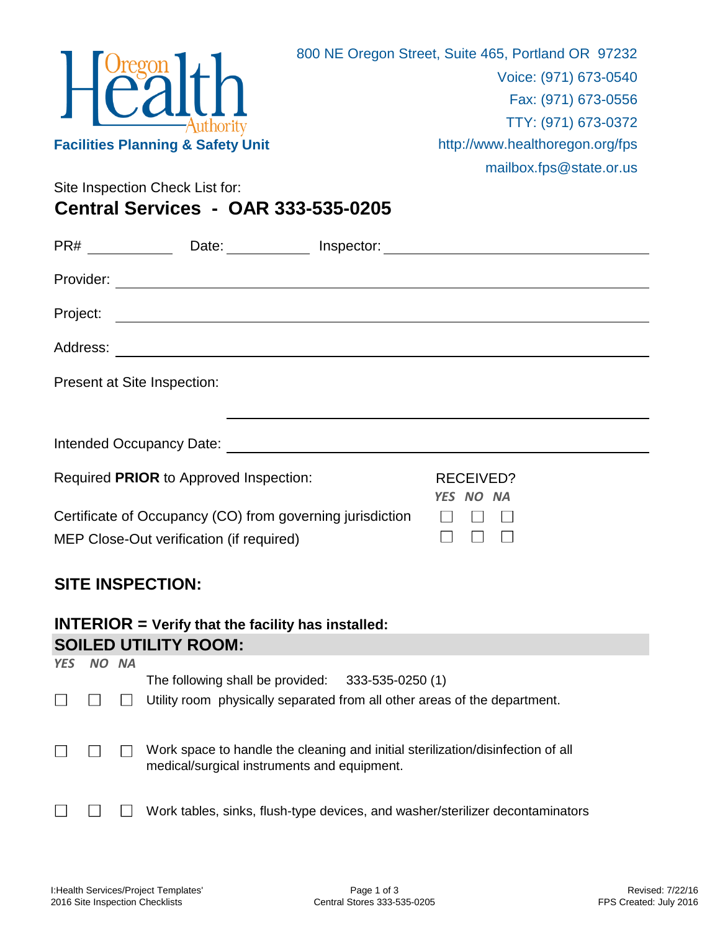

Site Inspection Check List for:

**Central Services - OAR 333-535-0205**

|                             | $PR#$ ________<br>Date: Inspector: Date: New York: New York: New York: New York: New York: New York: New York: New York: New York: New York: New York: New York: New York: New York: New York: New York: New York: New York: New York: New York: |  |                               |  |
|-----------------------------|--------------------------------------------------------------------------------------------------------------------------------------------------------------------------------------------------------------------------------------------------|--|-------------------------------|--|
|                             |                                                                                                                                                                                                                                                  |  |                               |  |
| Project:                    | <u> 1980 - Johann Barbara, martxa amerikan bashkar (</u>                                                                                                                                                                                         |  |                               |  |
|                             |                                                                                                                                                                                                                                                  |  |                               |  |
| Present at Site Inspection: |                                                                                                                                                                                                                                                  |  |                               |  |
|                             |                                                                                                                                                                                                                                                  |  |                               |  |
|                             |                                                                                                                                                                                                                                                  |  |                               |  |
|                             | Required PRIOR to Approved Inspection:                                                                                                                                                                                                           |  | <b>RECEIVED?</b><br>YES NO NA |  |
|                             | Certificate of Occupancy (CO) from governing jurisdiction                                                                                                                                                                                        |  |                               |  |
|                             | MEP Close-Out verification (if required)                                                                                                                                                                                                         |  |                               |  |
| <b>SITE INSPECTION:</b>     |                                                                                                                                                                                                                                                  |  |                               |  |

## **INTERIOR = Verify that the facility has installed: SOILED UTILITY ROOM:**

| <b>YES</b> | NO NA |                                                                                                                                 |
|------------|-------|---------------------------------------------------------------------------------------------------------------------------------|
|            |       | The following shall be provided: $333-535-0250(1)$<br>Utility room physically separated from all other areas of the department. |
|            |       | Work space to handle the cleaning and initial sterilization/disinfection of all<br>medical/surgical instruments and equipment.  |
|            |       | Work tables, sinks, flush-type devices, and washer/sterilizer decontaminators                                                   |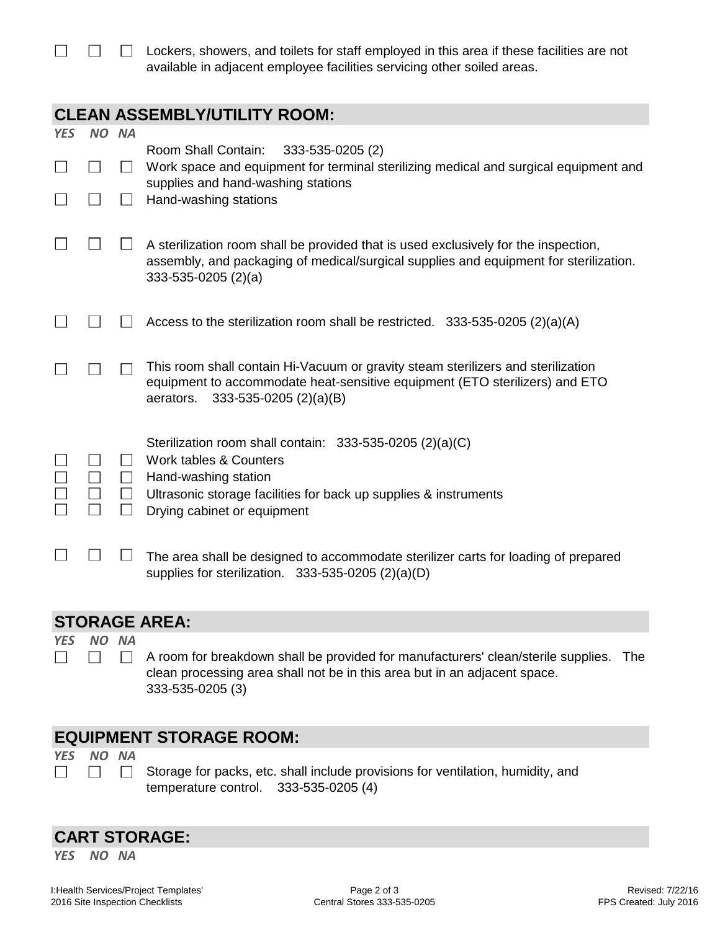$\Box$  Lockers, showers, and toilets for staff employed in this area if these facilities are not available in adjacent employee facilities servicing other soiled areas.

## **CLEAN ASSEMBLY/UTILITY ROOM:**

| <b>YES</b>           | NO NA |           |                                                                                                                                                                                                               |  |  |  |
|----------------------|-------|-----------|---------------------------------------------------------------------------------------------------------------------------------------------------------------------------------------------------------------|--|--|--|
|                      |       |           | Room Shall Contain:<br>333-535-0205 (2)<br>Work space and equipment for terminal sterilizing medical and surgical equipment and<br>supplies and hand-washing stations                                         |  |  |  |
|                      |       |           | Hand-washing stations                                                                                                                                                                                         |  |  |  |
|                      |       |           | A sterilization room shall be provided that is used exclusively for the inspection,<br>assembly, and packaging of medical/surgical supplies and equipment for sterilization.<br>$333-535-0205$ (2)(a)         |  |  |  |
|                      |       |           | Access to the sterilization room shall be restricted. 333-535-0205 (2)(a)(A)                                                                                                                                  |  |  |  |
|                      |       |           | This room shall contain Hi-Vacuum or gravity steam sterilizers and sterilization<br>equipment to accommodate heat-sensitive equipment (ETO sterilizers) and ETO<br>aerators.<br>333-535-0205 (2)(a)(B)        |  |  |  |
|                      |       | $\Box$    | Sterilization room shall contain: 333-535-0205 (2)(a)(C)<br>Work tables & Counters<br>Hand-washing station<br>Ultrasonic storage facilities for back up supplies & instruments<br>Drying cabinet or equipment |  |  |  |
|                      |       |           | The area shall be designed to accommodate sterilizer carts for loading of prepared<br>supplies for sterilization. $333-535-0205(2)(a)(D)$                                                                     |  |  |  |
| <b>STORAGE AREA:</b> |       |           |                                                                                                                                                                                                               |  |  |  |
| <b>YES</b>           | NO.   | <b>NA</b> |                                                                                                                                                                                                               |  |  |  |

 $\Box$  $\Box$  $\Box$  A room for breakdown shall be provided for manufacturers' clean/sterile supplies. The clean processing area shall not be in this area but in an adjacent space. 333-535-0205 (3)

## **EQUIPMENT STORAGE ROOM:**

*YES NO NA*  $\Box$ 

 $\Box$ 

Storage for packs, etc. shall include provisions for ventilation, humidity, and temperature control. 333-535-0205 (4)

## **CART STORAGE:**

 $\Box$ 

*YES NO NA*